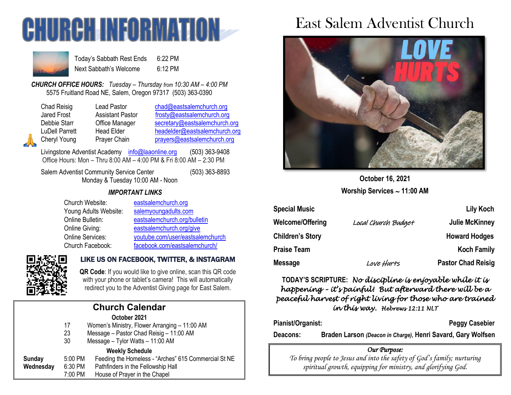



Today's Sabbath Rest Ends 6:22 PM Next Sabbath's Welcome 6:12 PM

*CHURCH OFFICE HOURS: Tuesday – Thursday from 10:30 AM – 4:00 PM* 5575 Fruitland Road NE, Salem, Oregon 97317 (503) 363-0390

Lead Pastor [chad@eastsalemchurch.org](mailto:chad@eastsalemchurch.org) Assistant Pastor [frosty@eastsalemchurch.org](mailto:frosty@eastsalemchurch.org) Office Manager [secretary@eastsalemchurch.org](mailto:secretary@eastsalemchurch.org) Head Elder [headelder@eastsalemchurch.org](mailto:headelder@eastsalemchurch.org) Prayer Chain [prayers@eastsalemchurch.org](mailto:prayers@eastsalemchurch.org)

Livingstone Adventist Academy [info@laaonline.org](mailto:info@laaonline.org) (503) 363-9408 Office Hours: Mon – Thru 8:00 AM – 4:00 PM & Fri 8:00 AM – 2:30 PM

Salem Adventist Community Service Center (503) 363-8893 Monday & Tuesday 10:00 AM - Noon

#### *IMPORTANT LINKS*

| Church Website:         | eastsalemchurch.org              |
|-------------------------|----------------------------------|
| Young Adults Website:   | salemyoungadults.com             |
| Online Bulletin:        | eastsalemchurch.org/bulletin     |
| Online Giving:          | eastsalemchurch.org/give         |
| <b>Online Services:</b> | youtube.com/user/eastsalemchurch |
| Church Facebook:        | facebook.com/eastsalemchurch/    |



## LIKE US ON FACEBOOK, TWITTER, & INSTAGRAM

**QR Code**: If you would like to give online, scan this QR code with your phone or tablet's camera! This will automatically redirect you to the Adventist Giving page for East Salem.

|           |         | <b>Church Calendar</b>                               |
|-----------|---------|------------------------------------------------------|
|           |         | October 2021                                         |
|           | 17      | Women's Ministry, Flower Arranging – 11:00 AM        |
|           | 23      | Message - Pastor Chad Reisig - 11:00 AM              |
|           | 30      | Message - Tylor Watts - 11:00 AM                     |
|           |         | <b>Weekly Schedule</b>                               |
| Sunday    | 5:00 PM | Feeding the Homeless - "Arches" 615 Commercial St NE |
| Wednesday | 6:30 PM | Pathfinders in the Fellowship Hall                   |
|           | 7:00 PM | House of Prayer in the Chapel                        |

# East Salem Adventist Church



**October 16, 2021 Worship Services 11:00 AM**

| <b>Special Music</b>    |                     | Lily Koch                 |
|-------------------------|---------------------|---------------------------|
| Welcome/Offering        | Local Church Budget | <b>Julie McKinney</b>     |
| <b>Children's Story</b> |                     | <b>Howard Hodges</b>      |
| Praise Team             |                     | <b>Koch Family</b>        |
| Message                 | Love Hurts          | <b>Pastor Chad Reisig</b> |

**TODAY'S SCRIPTURE:** *No discipline is enjoyable while it is happening – it's painful! But afterward there will be a peaceful harvest of right living for those who are trained in this way. Hebrews 12:11 NLT* 

Pianist/Organist: Pianist/Organist: Peggy Casebier

**Deacons: Braden Larson** *(Deacon in Charge)***, Henri Savard, Gary Wolfsen**

## *Our Purpose:*

*To bring people to Jesus and into the safety of God's family; nurturing spiritual growth, equipping for ministry, and glorifying God.*